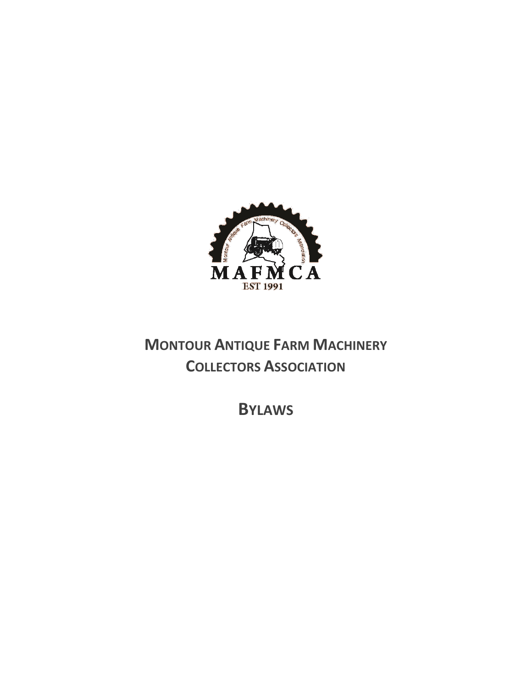

# **MONTOUR ANTIQUE FARM MACHINERY COLLECTORS ASSOCIATION**

**BYLAWS**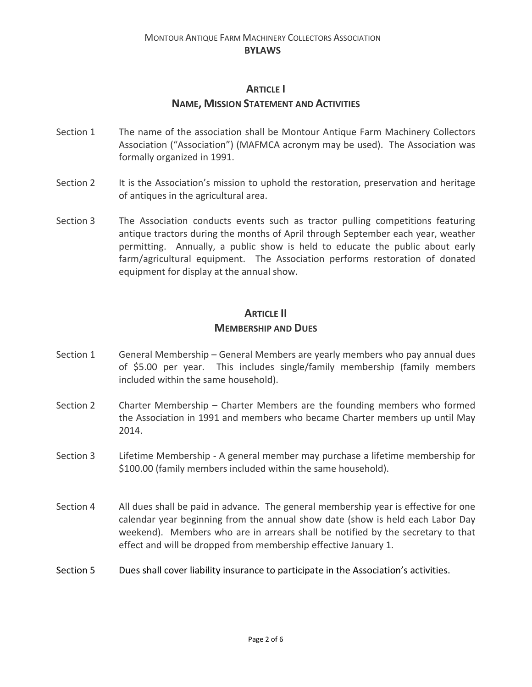#### MONTOUR ANTIQUE FARM MACHINERY COLLECTORS ASSOCIATION **BYLAWS**

#### **ARTICLE I**

#### **NAME, MISSION STATEMENT AND ACTIVITIES**

- Section 1 The name of the association shall be Montour Antique Farm Machinery Collectors Association ("Association") (MAFMCA acronym may be used). The Association was formally organized in 1991.
- Section 2 It is the Association's mission to uphold the restoration, preservation and heritage of antiques in the agricultural area.
- Section 3 The Association conducts events such as tractor pulling competitions featuring antique tractors during the months of April through September each year, weather permitting. Annually, a public show is held to educate the public about early farm/agricultural equipment. The Association performs restoration of donated equipment for display at the annual show.

#### **ARTICLE II**

#### **MEMBERSHIP AND DUES**

- Section 1 General Membership General Members are yearly members who pay annual dues of \$5.00 per year. This includes single/family membership (family members included within the same household).
- Section 2 Charter Membership Charter Members are the founding members who formed the Association in 1991 and members who became Charter members up until May 2014.
- Section 3 Lifetime Membership A general member may purchase a lifetime membership for \$100.00 (family members included within the same household).
- Section 4 All dues shall be paid in advance. The general membership year is effective for one calendar year beginning from the annual show date (show is held each Labor Day weekend). Members who are in arrears shall be notified by the secretary to that effect and will be dropped from membership effective January 1.
- Section 5 Dues shall cover liability insurance to participate in the Association's activities.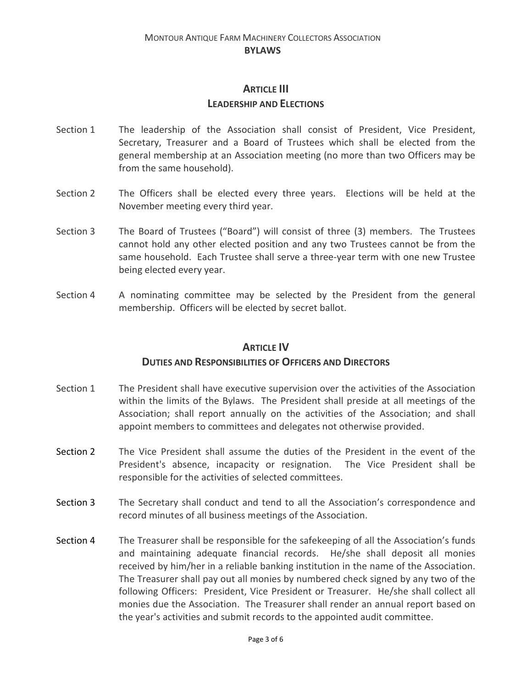## **ARTICLE III LEADERSHIP AND ELECTIONS**

- Section 1 The leadership of the Association shall consist of President, Vice President, Secretary, Treasurer and a Board of Trustees which shall be elected from the general membership at an Association meeting (no more than two Officers may be from the same household).
- Section 2 The Officers shall be elected every three years. Elections will be held at the November meeting every third year.
- Section 3 The Board of Trustees ("Board") will consist of three (3) members. The Trustees cannot hold any other elected position and any two Trustees cannot be from the same household. Each Trustee shall serve a three-year term with one new Trustee being elected every year.
- Section 4 A nominating committee may be selected by the President from the general membership. Officers will be elected by secret ballot.

#### **ARTICLE IV**

#### **DUTIES AND RESPONSIBILITIES OF OFFICERS AND DIRECTORS**

- Section 1 The President shall have executive supervision over the activities of the Association within the limits of the Bylaws. The President shall preside at all meetings of the Association; shall report annually on the activities of the Association; and shall appoint members to committees and delegates not otherwise provided.
- Section 2 The Vice President shall assume the duties of the President in the event of the President's absence, incapacity or resignation. The Vice President shall be responsible for the activities of selected committees.
- Section 3 The Secretary shall conduct and tend to all the Association's correspondence and record minutes of all business meetings of the Association.
- Section 4 The Treasurer shall be responsible for the safekeeping of all the Association's funds and maintaining adequate financial records. He/she shall deposit all monies received by him/her in a reliable banking institution in the name of the Association. The Treasurer shall pay out all monies by numbered check signed by any two of the following Officers: President, Vice President or Treasurer. He/she shall collect all monies due the Association. The Treasurer shall render an annual report based on the year's activities and submit records to the appointed audit committee.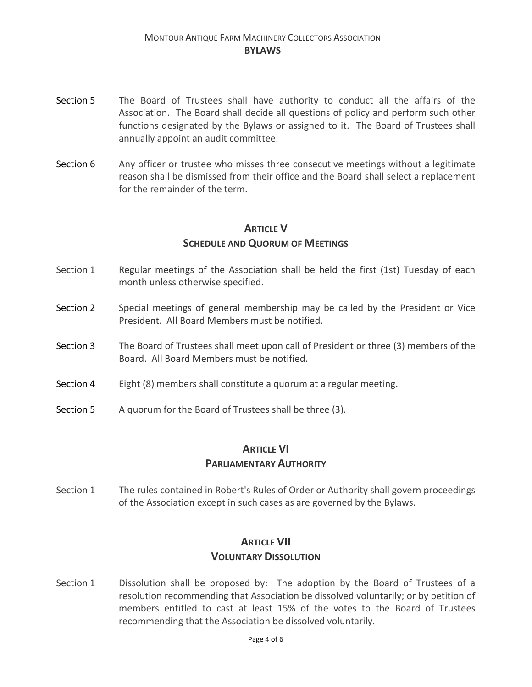- Section 5 The Board of Trustees shall have authority to conduct all the affairs of the Association. The Board shall decide all questions of policy and perform such other functions designated by the Bylaws or assigned to it. The Board of Trustees shall annually appoint an audit committee.
- Section 6 Any officer or trustee who misses three consecutive meetings without a legitimate reason shall be dismissed from their office and the Board shall select a replacement for the remainder of the term.

## **ARTICLE V SCHEDULE AND QUORUM OF MEETINGS**

- Section 1 Regular meetings of the Association shall be held the first (1st) Tuesday of each month unless otherwise specified.
- Section 2 Special meetings of general membership may be called by the President or Vice President. All Board Members must be notified.
- Section 3 The Board of Trustees shall meet upon call of President or three (3) members of the Board. All Board Members must be notified.
- Section 4 Eight (8) members shall constitute a quorum at a regular meeting.
- Section 5 A quorum for the Board of Trustees shall be three (3).

## **ARTICLE VI**

#### **PARLIAMENTARY AUTHORITY**

Section 1 The rules contained in Robert's Rules of Order or Authority shall govern proceedings of the Association except in such cases as are governed by the Bylaws.

## **ARTICLE VII VOLUNTARY DISSOLUTION**

Section 1 Dissolution shall be proposed by: The adoption by the Board of Trustees of a resolution recommending that Association be dissolved voluntarily; or by petition of members entitled to cast at least 15% of the votes to the Board of Trustees recommending that the Association be dissolved voluntarily.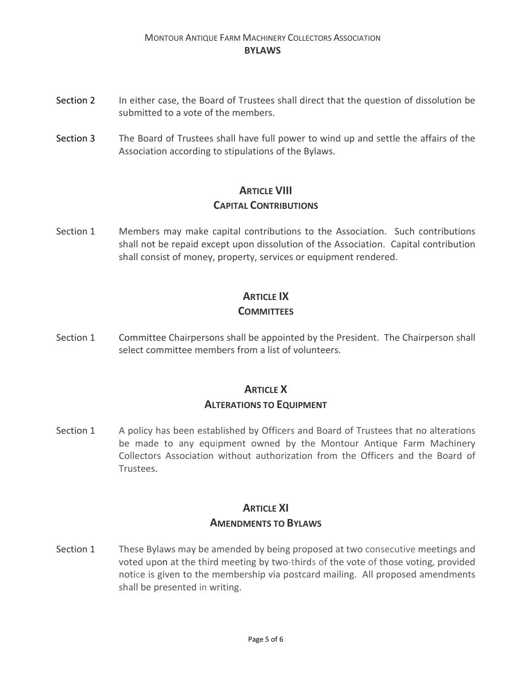#### MONTOUR ANTIQUE FARM MACHINERY COLLECTORS ASSOCIATION **BYLAWS**

- Section 2 In either case, the Board of Trustees shall direct that the question of dissolution be submitted to a vote of the members.
- Section 3 The Board of Trustees shall have full power to wind up and settle the affairs of the Association according to stipulations of the Bylaws.

### **ARTICLE VIII CAPITAL CONTRIBUTIONS**

Section 1 Members may make capital contributions to the Association. Such contributions shall not be repaid except upon dissolution of the Association. Capital contribution shall consist of money, property, services or equipment rendered.

## **ARTICLE IX**

### **COMMITTEES**

Section 1 Committee Chairpersons shall be appointed by the President. The Chairperson shall select committee members from a list of volunteers.

## **ARTICLE X ALTERATIONS TO EQUIPMENT**

Section 1 A policy has been established by Officers and Board of Trustees that no alterations be made to any equipment owned by the Montour Antique Farm Machinery Collectors Association without authorization from the Officers and the Board of Trustees.

## **ARTICLE XI AMENDMENTS TO BYLAWS**

Section 1 These Bylaws may be amended by being proposed at two consecutive meetings and voted upon at the third meeting by two-thirds of the vote of those voting, provided notice is given to the membership via postcard mailing. All proposed amendments shall be presented in writing.